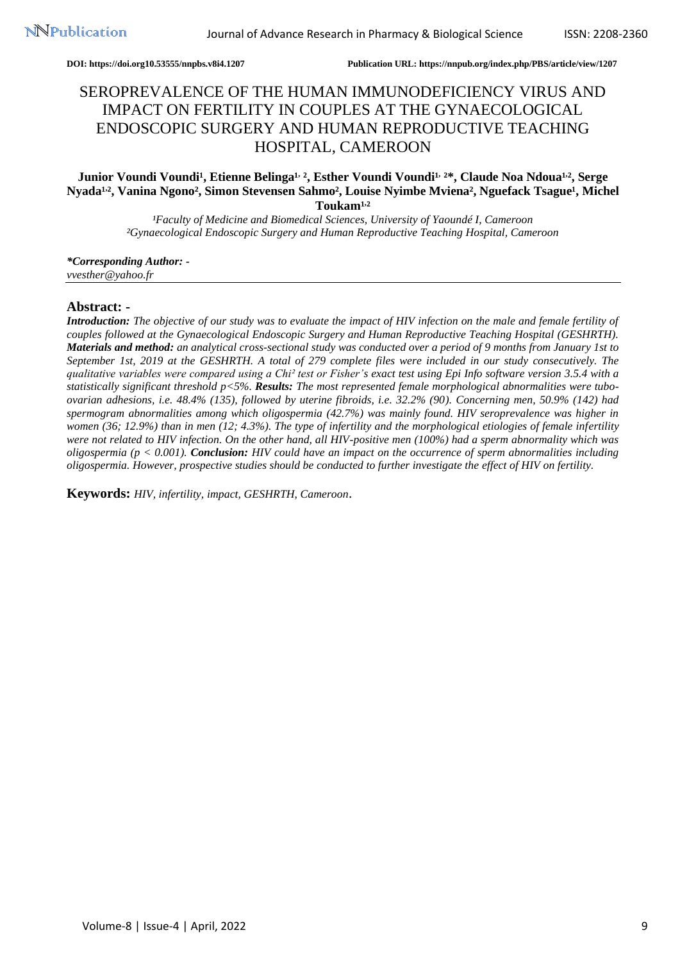**DOI: https://doi.org10.53555/nnpbs.v8i4.1207 Publication URL: https://nnpub.org/index.php/PBS/article/view/1207**

# SEROPREVALENCE OF THE HUMAN IMMUNODEFICIENCY VIRUS AND IMPACT ON FERTILITY IN COUPLES AT THE GYNAECOLOGICAL ENDOSCOPIC SURGERY AND HUMAN REPRODUCTIVE TEACHING HOSPITAL, CAMEROON

# Junior Voundi Voundi<sup>1</sup>, Etienne Belinga<sup>1, 2</sup>, Esther Voundi Voundi<sup>1, 2\*</sup>, Claude Noa Ndoua<sup>1,2</sup>, Serge Nyada<sup>1,2</sup>, Vanina Ngono<sup>2</sup>, Simon Stevensen Sahmo<sup>2</sup>, Louise Nyimbe Mviena<sup>2</sup>, Nguefack Tsague<sup>1</sup>, Michel Toukam<sup>1,2</sup>

<sup>1</sup>Faculty of Medicine and Biomedical Sciences, University of Yaoundé I, Cameroon *²Gynaecological Endoscopic Surgery and Human Reproductive Teaching Hospital, Cameroon*

*\*Corresponding Author: vvesther@yahoo.fr*

## **Abstract: -**

*Introduction: The objective of our study was to evaluate the impact of HIV infection on the male and female fertility of couples followed at the Gynaecological Endoscopic Surgery and Human Reproductive Teaching Hospital (GESHRTH). Materials and method: an analytical cross-sectional study was conducted over a period of 9 months from January 1st to September 1st, 2019 at the GESHRTH. A total of 279 complete files were included in our study consecutively. The qualitative variables were compared using a Chi² test or Fisher's exact test using Epi Info software version 3.5.4 with a statistically significant threshold p<5%. Results: The most represented female morphological abnormalities were tuboovarian adhesions, i.e. 48.4% (135), followed by uterine fibroids, i.e. 32.2% (90). Concerning men, 50.9% (142) had spermogram abnormalities among which oligospermia (42.7%) was mainly found. HIV seroprevalence was higher in women (36; 12.9%) than in men (12; 4.3%). The type of infertility and the morphological etiologies of female infertility were not related to HIV infection. On the other hand, all HIV-positive men (100%) had a sperm abnormality which was oligospermia (p < 0.001). Conclusion: HIV could have an impact on the occurrence of sperm abnormalities including oligospermia. However, prospective studies should be conducted to further investigate the effect of HIV on fertility.*

**Keywords:** *HIV, infertility, impact, GESHRTH, Cameroon*.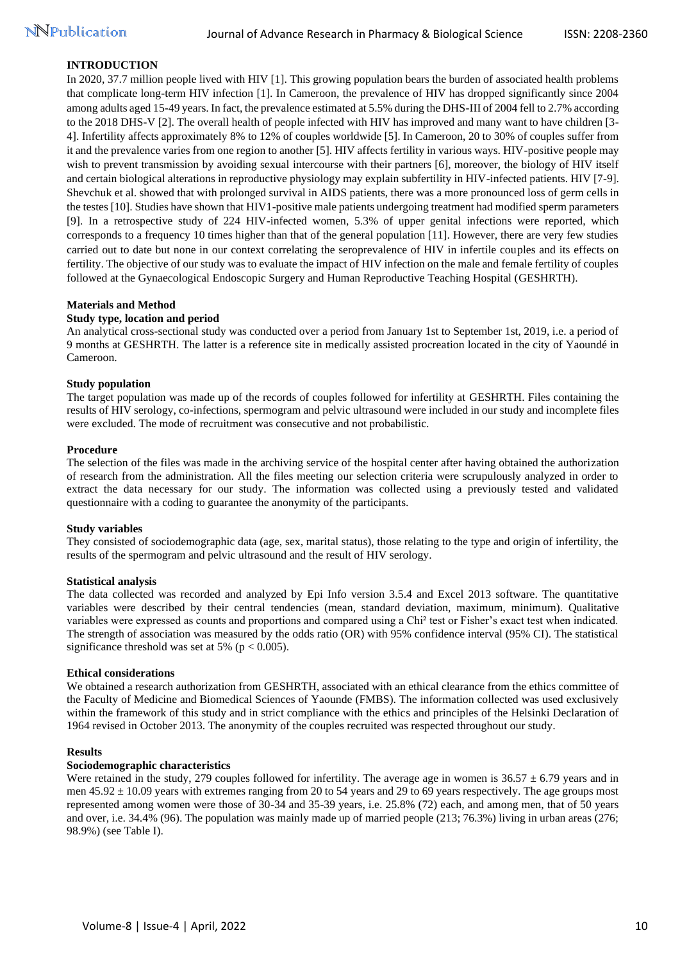# **INTRODUCTION**

In 2020, 37.7 million people lived with HIV [1]. This growing population bears the burden of associated health problems that complicate long-term HIV infection [1]. In Cameroon, the prevalence of HIV has dropped significantly since 2004 among adults aged 15-49 years. In fact, the prevalence estimated at 5.5% during the DHS-III of 2004 fell to 2.7% according to the 2018 DHS-V [2]. The overall health of people infected with HIV has improved and many want to have children [3- 4]. Infertility affects approximately 8% to 12% of couples worldwide [5]. In Cameroon, 20 to 30% of couples suffer from it and the prevalence varies from one region to another [5]. HIV affects fertility in various ways. HIV-positive people may wish to prevent transmission by avoiding sexual intercourse with their partners [6], moreover, the biology of HIV itself and certain biological alterations in reproductive physiology may explain subfertility in HIV-infected patients. HIV [7-9]. Shevchuk et al. showed that with prolonged survival in AIDS patients, there was a more pronounced loss of germ cells in the testes [10]. Studies have shown that HIV1-positive male patients undergoing treatment had modified sperm parameters [9]. In a retrospective study of 224 HIV-infected women, 5.3% of upper genital infections were reported, which corresponds to a frequency 10 times higher than that of the general population [11]. However, there are very few studies carried out to date but none in our context correlating the seroprevalence of HIV in infertile couples and its effects on fertility. The objective of our study was to evaluate the impact of HIV infection on the male and female fertility of couples followed at the Gynaecological Endoscopic Surgery and Human Reproductive Teaching Hospital (GESHRTH).

#### **Materials and Method**

#### **Study type, location and period**

An analytical cross-sectional study was conducted over a period from January 1st to September 1st, 2019, i.e. a period of 9 months at GESHRTH. The latter is a reference site in medically assisted procreation located in the city of Yaoundé in Cameroon.

#### **Study population**

The target population was made up of the records of couples followed for infertility at GESHRTH. Files containing the results of HIV serology, co-infections, spermogram and pelvic ultrasound were included in our study and incomplete files were excluded. The mode of recruitment was consecutive and not probabilistic.

#### **Procedure**

The selection of the files was made in the archiving service of the hospital center after having obtained the authorization of research from the administration. All the files meeting our selection criteria were scrupulously analyzed in order to extract the data necessary for our study. The information was collected using a previously tested and validated questionnaire with a coding to guarantee the anonymity of the participants.

#### **Study variables**

They consisted of sociodemographic data (age, sex, marital status), those relating to the type and origin of infertility, the results of the spermogram and pelvic ultrasound and the result of HIV serology.

#### **Statistical analysis**

The data collected was recorded and analyzed by Epi Info version 3.5.4 and Excel 2013 software. The quantitative variables were described by their central tendencies (mean, standard deviation, maximum, minimum). Qualitative variables were expressed as counts and proportions and compared using a Chi² test or Fisher's exact test when indicated. The strength of association was measured by the odds ratio (OR) with 95% confidence interval (95% CI). The statistical significance threshold was set at 5% ( $p < 0.005$ ).

#### **Ethical considerations**

We obtained a research authorization from GESHRTH, associated with an ethical clearance from the ethics committee of the Faculty of Medicine and Biomedical Sciences of Yaounde (FMBS). The information collected was used exclusively within the framework of this study and in strict compliance with the ethics and principles of the Helsinki Declaration of 1964 revised in October 2013. The anonymity of the couples recruited was respected throughout our study.

#### **Results**

#### **Sociodemographic characteristics**

Were retained in the study, 279 couples followed for infertility. The average age in women is  $36.57 \pm 6.79$  years and in men  $45.92 \pm 10.09$  years with extremes ranging from 20 to 54 years and 29 to 69 years respectively. The age groups most represented among women were those of 30-34 and 35-39 years, i.e. 25.8% (72) each, and among men, that of 50 years and over, i.e. 34.4% (96). The population was mainly made up of married people (213; 76.3%) living in urban areas (276; 98.9%) (see Table I).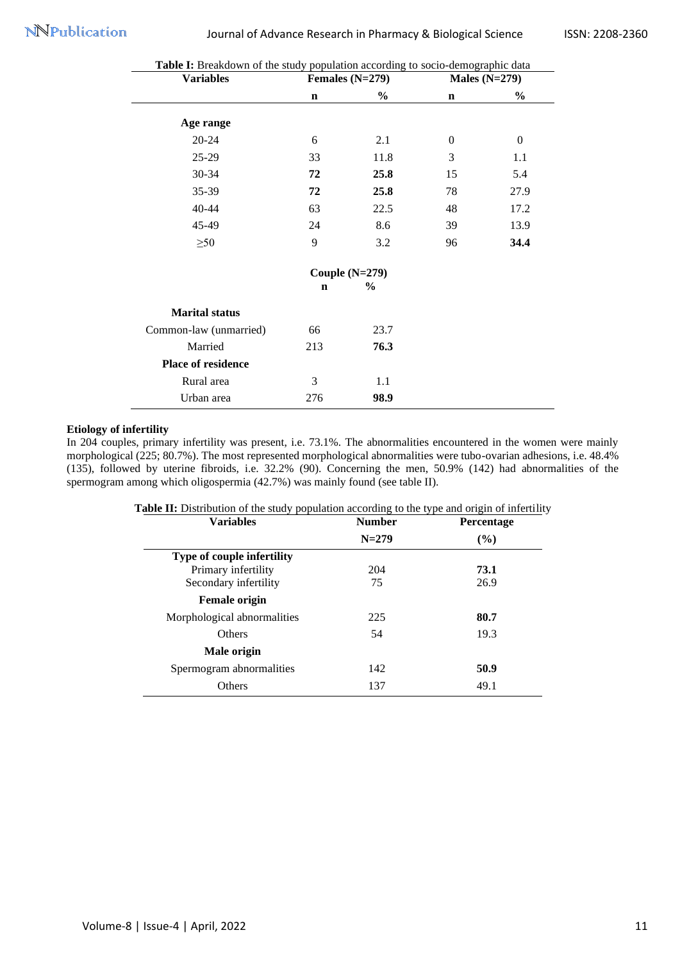| <b>Variables</b>       |             | Females $(N=279)$ |                | Males $(N=279)$ |
|------------------------|-------------|-------------------|----------------|-----------------|
|                        | $\mathbf n$ | $\%$              | $\mathbf n$    | $\frac{0}{0}$   |
| Age range              |             |                   |                |                 |
| $20 - 24$              | 6           | 2.1               | $\overline{0}$ | $\overline{0}$  |
| $25-29$                | 33          | 11.8              | 3              | 1.1             |
| 30-34                  | 72          | 25.8              | 15             | 5.4             |
| 35-39                  | 72          | 25.8              | 78             | 27.9            |
| 40-44                  | 63          | 22.5              | 48             | 17.2            |
| 45-49                  | 24          | 8.6               | 39             | 13.9            |
| $\geq 50$              | 9           | 3.2               | 96             | 34.4            |
|                        |             | Couple $(N=279)$  |                |                 |
|                        | $\mathbf n$ | $\%$              |                |                 |
| <b>Marital status</b>  |             |                   |                |                 |
| Common-law (unmarried) | 66          | 23.7              |                |                 |
| Married                | 213         | 76.3              |                |                 |
| Place of residence     |             |                   |                |                 |
| Rural area             | 3           | 1.1               |                |                 |
| Urban area             | 276         | 98.9              |                |                 |

# Table I: Breakdown of the study population according to socio-demographic data

# **Etiology of infertility**

In 204 couples, primary infertility was present, i.e. 73.1%. The abnormalities encountered in the women were mainly morphological (225; 80.7%). The most represented morphological abnormalities were tubo-ovarian adhesions, i.e. 48.4% (135), followed by uterine fibroids, i.e. 32.2% (90). Concerning the men, 50.9% (142) had abnormalities of the spermogram among which oligospermia (42.7%) was mainly found (see table II).

| <b>Variables</b>                  | <b>Number</b> | <b>Percentage</b> |  |
|-----------------------------------|---------------|-------------------|--|
|                                   | $N = 279$     | $($ %)            |  |
| <b>Type of couple infertility</b> |               |                   |  |
| Primary infertility               | 204           | 73.1              |  |
| Secondary infertility             | 75            | 26.9              |  |
| <b>Female origin</b>              |               |                   |  |
| Morphological abnormalities       | 225           | 80.7              |  |
| <b>Others</b>                     | 54            | 19.3              |  |
| Male origin                       |               |                   |  |
| Spermogram abnormalities          | 142           | 50.9              |  |
| Others                            | 137           | 49.1              |  |
|                                   |               |                   |  |

| Table II: Distribution of the study population according to the type and origin of infertility |  |  |  |  |  |  |  |  |
|------------------------------------------------------------------------------------------------|--|--|--|--|--|--|--|--|
|------------------------------------------------------------------------------------------------|--|--|--|--|--|--|--|--|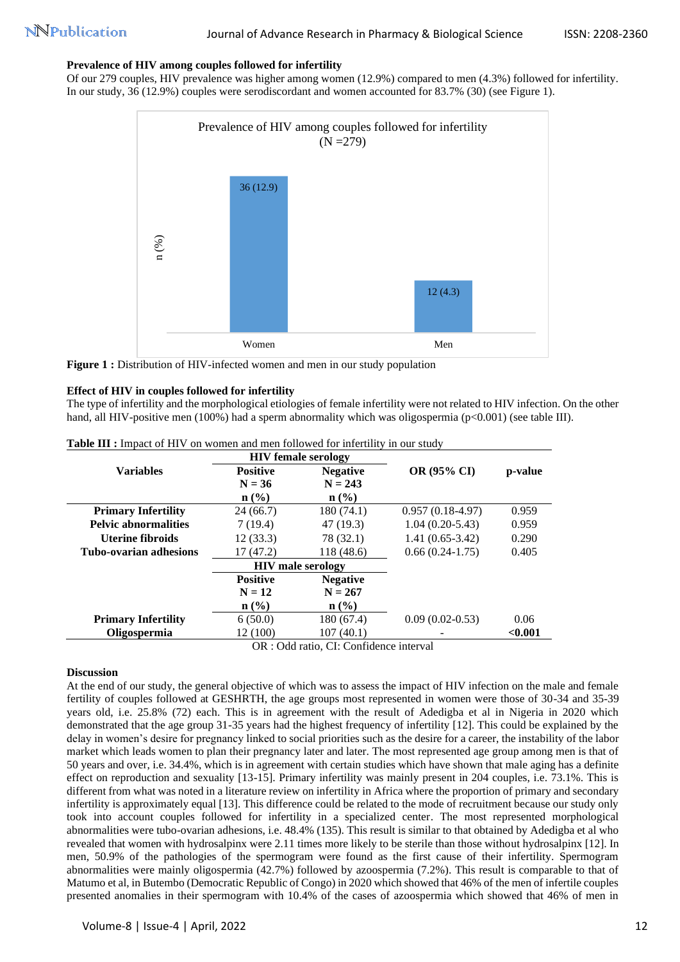## **Prevalence of HIV among couples followed for infertility**

Of our 279 couples, HIV prevalence was higher among women (12.9%) compared to men (4.3%) followed for infertility. In our study, 36 (12.9%) couples were serodiscordant and women accounted for 83.7% (30) (see Figure 1).



**Figure 1 :** Distribution of HIV-infected women and men in our study population

# **Effect of HIV in couples followed for infertility**

The type of infertility and the morphological etiologies of female infertility were not related to HIV infection. On the other hand, all HIV-positive men (100%) had a sperm abnormality which was oligospermia ( $p<0.001$ ) (see table III).

|                               |                 | <b>HIV</b> female serology  |                    |         |
|-------------------------------|-----------------|-----------------------------|--------------------|---------|
| <b>Variables</b>              | <b>Positive</b> | <b>Negative</b>             | <b>OR (95% CI)</b> | p-value |
|                               | $N = 36$        | $N = 243$                   |                    |         |
|                               | n (% )          | $n\left(\frac{0}{0}\right)$ |                    |         |
| <b>Primary Infertility</b>    | 24(66.7)        | 180 (74.1)                  | $0.957(0.18-4.97)$ | 0.959   |
| <b>Pelvic abnormalities</b>   | 7(19.4)         | 47 (19.3)                   | $1.04(0.20-5.43)$  | 0.959   |
| Uterine fibroids              | 12(33.3)        | 78 (32.1)                   | $1.41(0.65-3.42)$  | 0.290   |
| <b>Tubo-ovarian adhesions</b> | 17(47.2)        | 118 (48.6)                  | $0.66(0.24-1.75)$  | 0.405   |
|                               |                 | <b>HIV</b> male serology    |                    |         |
|                               | <b>Positive</b> | <b>Negative</b>             |                    |         |
|                               | $N = 12$        | $N = 267$                   |                    |         |
|                               | n (% )          | $n\left(\frac{0}{0}\right)$ |                    |         |
| <b>Primary Infertility</b>    | 6(50.0)         | 180 (67.4)                  | $0.09(0.02-0.53)$  | 0.06    |
| <b>Oligospermia</b>           | 12 (100)        | 107(40.1)                   |                    | < 0.001 |

**Table III :** Impact of HIV on women and men followed for infertility in our study

OR : Odd ratio, CI: Confidence interval

## **Discussion**

At the end of our study, the general objective of which was to assess the impact of HIV infection on the male and female fertility of couples followed at GESHRTH, the age groups most represented in women were those of 30-34 and 35-39 years old, i.e. 25.8% (72) each. This is in agreement with the result of Adedigba et al in Nigeria in 2020 which demonstrated that the age group 31-35 years had the highest frequency of infertility [12]. This could be explained by the delay in women's desire for pregnancy linked to social priorities such as the desire for a career, the instability of the labor market which leads women to plan their pregnancy later and later. The most represented age group among men is that of 50 years and over, i.e. 34.4%, which is in agreement with certain studies which have shown that male aging has a definite effect on reproduction and sexuality [13-15]. Primary infertility was mainly present in 204 couples, i.e. 73.1%. This is different from what was noted in a literature review on infertility in Africa where the proportion of primary and secondary infertility is approximately equal [13]. This difference could be related to the mode of recruitment because our study only took into account couples followed for infertility in a specialized center. The most represented morphological abnormalities were tubo-ovarian adhesions, i.e. 48.4% (135). This result is similar to that obtained by Adedigba et al who revealed that women with hydrosalpinx were 2.11 times more likely to be sterile than those without hydrosalpinx [12]. In men, 50.9% of the pathologies of the spermogram were found as the first cause of their infertility. Spermogram abnormalities were mainly oligospermia (42.7%) followed by azoospermia (7.2%). This result is comparable to that of Matumo et al, in Butembo (Democratic Republic of Congo) in 2020 which showed that 46% of the men of infertile couples presented anomalies in their spermogram with 10.4% of the cases of azoospermia which showed that 46% of men in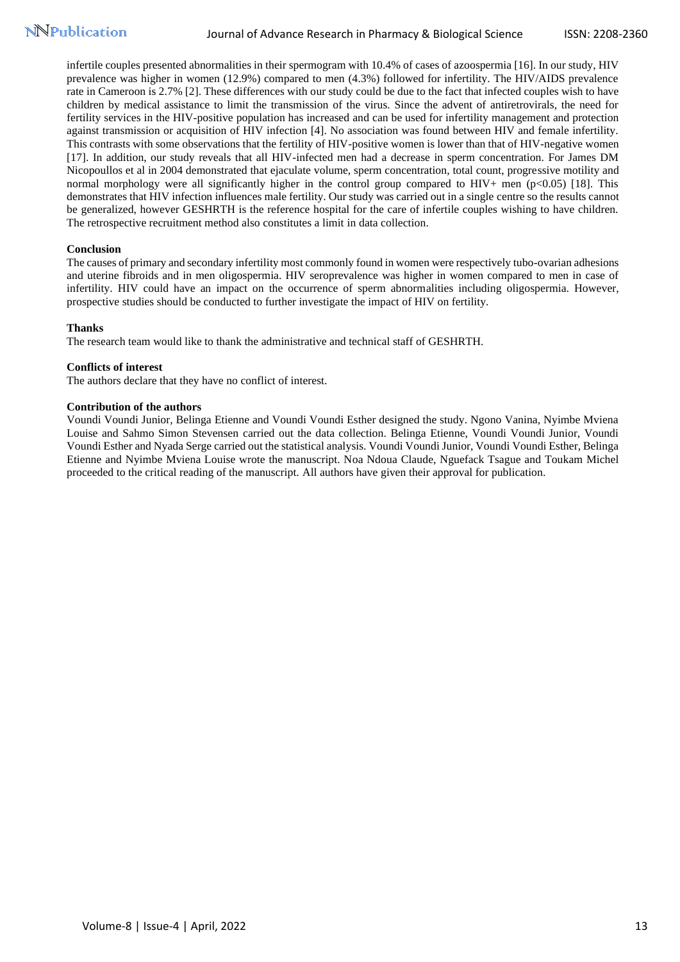infertile couples presented abnormalities in their spermogram with 10.4% of cases of azoospermia [16]. In our study, HIV prevalence was higher in women (12.9%) compared to men (4.3%) followed for infertility. The HIV/AIDS prevalence rate in Cameroon is 2.7% [2]. These differences with our study could be due to the fact that infected couples wish to have children by medical assistance to limit the transmission of the virus. Since the advent of antiretrovirals, the need for fertility services in the HIV-positive population has increased and can be used for infertility management and protection against transmission or acquisition of HIV infection [4]. No association was found between HIV and female infertility. This contrasts with some observations that the fertility of HIV-positive women is lower than that of HIV-negative women [17]. In addition, our study reveals that all HIV-infected men had a decrease in sperm concentration. For James DM Nicopoullos et al in 2004 demonstrated that ejaculate volume, sperm concentration, total count, progressive motility and normal morphology were all significantly higher in the control group compared to HIV+ men (p<0.05) [18]. This demonstrates that HIV infection influences male fertility. Our study was carried out in a single centre so the results cannot be generalized, however GESHRTH is the reference hospital for the care of infertile couples wishing to have children. The retrospective recruitment method also constitutes a limit in data collection.

## **Conclusion**

The causes of primary and secondary infertility most commonly found in women were respectively tubo-ovarian adhesions and uterine fibroids and in men oligospermia. HIV seroprevalence was higher in women compared to men in case of infertility. HIV could have an impact on the occurrence of sperm abnormalities including oligospermia. However, prospective studies should be conducted to further investigate the impact of HIV on fertility.

#### **Thanks**

The research team would like to thank the administrative and technical staff of GESHRTH.

#### **Conflicts of interest**

The authors declare that they have no conflict of interest.

#### **Contribution of the authors**

Voundi Voundi Junior, Belinga Etienne and Voundi Voundi Esther designed the study. Ngono Vanina, Nyimbe Mviena Louise and Sahmo Simon Stevensen carried out the data collection. Belinga Etienne, Voundi Voundi Junior, Voundi Voundi Esther and Nyada Serge carried out the statistical analysis. Voundi Voundi Junior, Voundi Voundi Esther, Belinga Etienne and Nyimbe Mviena Louise wrote the manuscript. Noa Ndoua Claude, Nguefack Tsague and Toukam Michel proceeded to the critical reading of the manuscript. All authors have given their approval for publication.